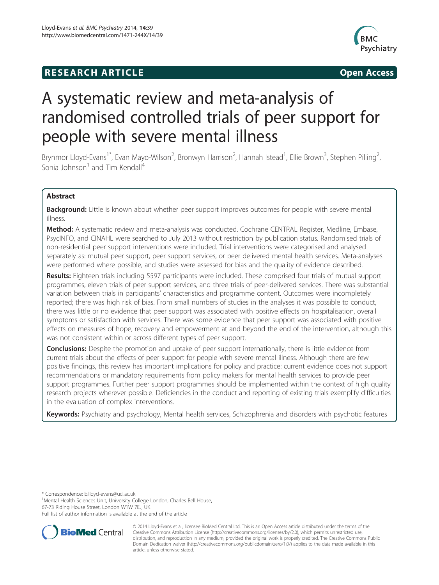# **RESEARCH ARTICLE Example 2014 12:25 Open Access**



# A systematic review and meta-analysis of randomised controlled trials of peer support for people with severe mental illness

Brynmor Lloyd-Evans<sup>1\*</sup>, Evan Mayo-Wilson<sup>2</sup>, Bronwyn Harrison<sup>2</sup>, Hannah Istead<sup>1</sup>, Ellie Brown<sup>3</sup>, Stephen Pilling<sup>2</sup> , Sonia Johnson<sup>1</sup> and Tim Kendall<sup>4</sup>

# Abstract

**Background:** Little is known about whether peer support improves outcomes for people with severe mental illness.

Method: A systematic review and meta-analysis was conducted. Cochrane CENTRAL Register, Medline, Embase, PsycINFO, and CINAHL were searched to July 2013 without restriction by publication status. Randomised trials of non-residential peer support interventions were included. Trial interventions were categorised and analysed separately as: mutual peer support, peer support services, or peer delivered mental health services. Meta-analyses were performed where possible, and studies were assessed for bias and the quality of evidence described.

Results: Eighteen trials including 5597 participants were included. These comprised four trials of mutual support programmes, eleven trials of peer support services, and three trials of peer-delivered services. There was substantial variation between trials in participants' characteristics and programme content. Outcomes were incompletely reported; there was high risk of bias. From small numbers of studies in the analyses it was possible to conduct, there was little or no evidence that peer support was associated with positive effects on hospitalisation, overall symptoms or satisfaction with services. There was some evidence that peer support was associated with positive effects on measures of hope, recovery and empowerment at and beyond the end of the intervention, although this was not consistent within or across different types of peer support.

**Conclusions:** Despite the promotion and uptake of peer support internationally, there is little evidence from current trials about the effects of peer support for people with severe mental illness. Although there are few positive findings, this review has important implications for policy and practice: current evidence does not support recommendations or mandatory requirements from policy makers for mental health services to provide peer support programmes. Further peer support programmes should be implemented within the context of high quality research projects wherever possible. Deficiencies in the conduct and reporting of existing trials exemplify difficulties in the evaluation of complex interventions.

Keywords: Psychiatry and psychology, Mental health services, Schizophrenia and disorders with psychotic features

\* Correspondence: [b.lloyd-evans@ucl.ac.uk](mailto:b.lloyd-evans@ucl.ac.uk) <sup>1</sup>

<sup>1</sup> Mental Health Sciences Unit, University College London, Charles Bell House, 67-73 Riding House Street, London W1W 7EJ, UK

Full list of author information is available at the end of the article



© 2014 Lloyd-Evans et al.; licensee BioMed Central Ltd. This is an Open Access article distributed under the terms of the Creative Commons Attribution License (<http://creativecommons.org/licenses/by/2.0>), which permits unrestricted use, distribution, and reproduction in any medium, provided the original work is properly credited. The Creative Commons Public Domain Dedication waiver [\(http://creativecommons.org/publicdomain/zero/1.0/\)](http://creativecommons.org/publicdomain/zero/1.0/) applies to the data made available in this article, unless otherwise stated.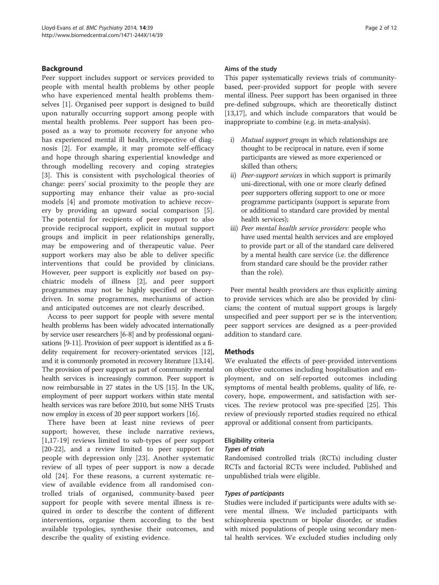# Background

Peer support includes support or services provided to people with mental health problems by other people who have experienced mental health problems themselves [[1\]](#page-10-0). Organised peer support is designed to build upon naturally occurring support among people with mental health problems. Peer support has been proposed as a way to promote recovery for anyone who has experienced mental ill health, irrespective of diagnosis [[2\]](#page-10-0). For example, it may promote self-efficacy and hope through sharing experiential knowledge and through modelling recovery and coping strategies [[3\]](#page-10-0). This is consistent with psychological theories of change: peers' social proximity to the people they are supporting may enhance their value as pro-social models [\[4](#page-10-0)] and promote motivation to achieve recovery by providing an upward social comparison [\[5](#page-10-0)]. The potential for recipients of peer support to also provide reciprocal support, explicit in mutual support groups and implicit in peer relationships generally, may be empowering and of therapeutic value. Peer support workers may also be able to deliver specific interventions that could be provided by clinicians. However, peer support is explicitly *not* based on psychiatric models of illness [[2\]](#page-10-0), and peer support programmes may not be highly specified or theorydriven. In some programmes, mechanisms of action and anticipated outcomes are not clearly described.

Access to peer support for people with severe mental health problems has been widely advocated internationally by service user researchers [\[6-8\]](#page-10-0) and by professional organisations [\[9-11\]](#page-10-0). Provision of peer support is identified as a fidelity requirement for recovery-orientated services [\[12](#page-10-0)], and it is commonly promoted in recovery literature [[13,14](#page-10-0)]. The provision of peer support as part of community mental health services is increasingly common. Peer support is now reimbursable in 27 states in the US [\[15\]](#page-10-0). In the UK, employment of peer support workers within state mental health services was rare before 2010, but some NHS Trusts now employ in excess of 20 peer support workers [\[16\]](#page-10-0).

There have been at least nine reviews of peer support; however, these include narrative reviews, [[1,17](#page-10-0)-[19\]](#page-10-0) reviews limited to sub-types of peer support [[20-22\]](#page-10-0), and a review limited to peer support for people with depression only [[23\]](#page-10-0). Another systematic review of all types of peer support is now a decade old [\[24](#page-10-0)]. For these reasons, a current systematic review of available evidence from all randomised controlled trials of organised, community-based peer support for people with severe mental illness is required in order to describe the content of different interventions, organise them according to the best available typologies, synthesise their outcomes, and describe the quality of existing evidence.

#### Aims of the study

This paper systematically reviews trials of communitybased, peer-provided support for people with severe mental illness. Peer support has been organised in three pre-defined subgroups, which are theoretically distinct [[13,17\]](#page-10-0), and which include comparators that would be inappropriate to combine (e.g. in meta-analysis).

- i) Mutual support groups in which relationships are thought to be reciprocal in nature, even if some participants are viewed as more experienced or skilled than others;
- ii) Peer-support services in which support is primarily uni-directional, with one or more clearly defined peer supporters offering support to one or more programme participants (support is separate from or additional to standard care provided by mental health services);
- iii) Peer mental health service providers: people who have used mental health services and are employed to provide part or all of the standard care delivered by a mental health care service (i.e. the difference from standard care should be the provider rather than the role).

Peer mental health providers are thus explicitly aiming to provide services which are also be provided by clinicians; the content of mutual support groups is largely unspecified and peer support per se is the intervention; peer support services are designed as a peer-provided addition to standard care.

## **Methods**

We evaluated the effects of peer-provided interventions on objective outcomes including hospitalisation and employment, and on self-reported outcomes including symptoms of mental health problems, quality of life, recovery, hope, empowerment, and satisfaction with services. The review protocol was pre-specified [[25\]](#page-10-0). This review of previously reported studies required no ethical approval or additional consent from participants.

# Eligibility criteria

#### Types of trials

Randomised controlled trials (RCTs) including cluster RCTs and factorial RCTs were included. Published and unpublished trials were eligible.

## Types of participants

Studies were included if participants were adults with severe mental illness. We included participants with schizophrenia spectrum or bipolar disorder, or studies with mixed populations of people using secondary mental health services. We excluded studies including only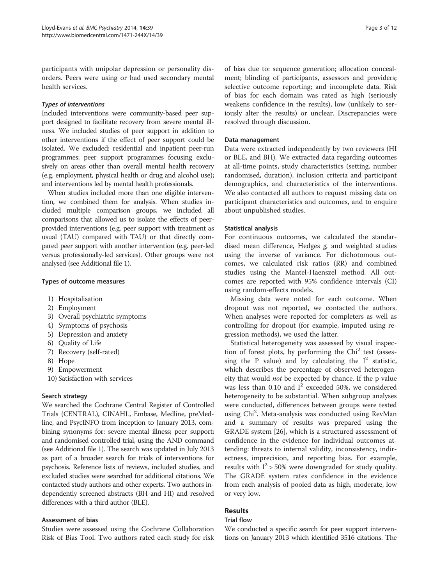participants with unipolar depression or personality disorders. Peers were using or had used secondary mental health services.

#### Types of interventions

Included interventions were community-based peer support designed to facilitate recovery from severe mental illness. We included studies of peer support in addition to other interventions if the effect of peer support could be isolated. We excluded: residential and inpatient peer-run programmes; peer support programmes focusing exclusively on areas other than overall mental health recovery (e.g. employment, physical health or drug and alcohol use); and interventions led by mental health professionals.

When studies included more than one eligible intervention, we combined them for analysis. When studies included multiple comparison groups, we included all comparisons that allowed us to isolate the effects of peerprovided interventions (e.g. peer support with treatment as usual (TAU) compared with TAU) or that directly compared peer support with another intervention (e.g. peer-led versus professionally-led services). Other groups were not analysed (see Additional file [1\)](#page-10-0).

#### Types of outcome measures

- 1) Hospitalisation
- 2) Employment
- 3) Overall psychiatric symptoms
- 4) Symptoms of psychosis
- 5) Depression and anxiety
- 6) Quality of Life
- 7) Recovery (self-rated)
- 8) Hope
- 9) Empowerment
- 10) Satisfaction with services

## Search strategy

We searched the Cochrane Central Register of Controlled Trials (CENTRAL), CINAHL, Embase, Medline, preMedline, and PsycINFO from inception to January 2013, combining synonyms for: severe mental illness; peer support; and randomised controlled trial, using the AND command (see Additional file [1\)](#page-10-0). The search was updated in July 2013 as part of a broader search for trials of interventions for psychosis. Reference lists of reviews, included studies, and excluded studies were searched for additional citations. We contacted study authors and other experts. Two authors independently screened abstracts (BH and HI) and resolved differences with a third author (BLE).

## Assessment of bias

Studies were assessed using the Cochrane Collaboration Risk of Bias Tool. Two authors rated each study for risk

of bias due to: sequence generation; allocation concealment; blinding of participants, assessors and providers; selective outcome reporting; and incomplete data. Risk of bias for each domain was rated as high (seriously weakens confidence in the results), low (unlikely to seriously alter the results) or unclear. Discrepancies were resolved through discussion.

#### Data management

Data were extracted independently by two reviewers (HI or BLE, and BH). We extracted data regarding outcomes at all-time points, study characteristics (setting, number randomised, duration), inclusion criteria and participant demographics, and characteristics of the interventions. We also contacted all authors to request missing data on participant characteristics and outcomes, and to enquire about unpublished studies.

#### Statistical analysis

For continuous outcomes, we calculated the standardised mean difference, Hedges g, and weighted studies using the inverse of variance. For dichotomous outcomes, we calculated risk ratios (RR) and combined studies using the Mantel-Haenszel method. All outcomes are reported with 95% confidence intervals (CI) using random-effects models.

Missing data were noted for each outcome. When dropout was not reported, we contacted the authors. When analyses were reported for completers as well as controlling for dropout (for example, imputed using regression methods), we used the latter.

Statistical heterogeneity was assessed by visual inspection of forest plots, by performing the Chi<sup>2</sup> test (assessing the P value) and by calculating the  $I^2$  statistic, which describes the percentage of observed heterogeneity that would not be expected by chance. If the p value was less than 0.10 and  $I^2$  exceeded 50%, we considered heterogeneity to be substantial. When subgroup analyses were conducted, differences between groups were tested using Chi<sup>2</sup>. Meta-analysis was conducted using RevMan and a summary of results was prepared using the GRADE system [[26\]](#page-10-0), which is a structured assessment of confidence in the evidence for individual outcomes attending: threats to internal validity, inconsistency, indirectness, imprecision, and reporting bias. For example, results with  $I^2 > 50\%$  were downgraded for study quality. The GRADE system rates confidence in the evidence from each analysis of pooled data as high, moderate, low or very low.

# Results

#### Trial flow

We conducted a specific search for peer support interventions on January 2013 which identified 3516 citations. The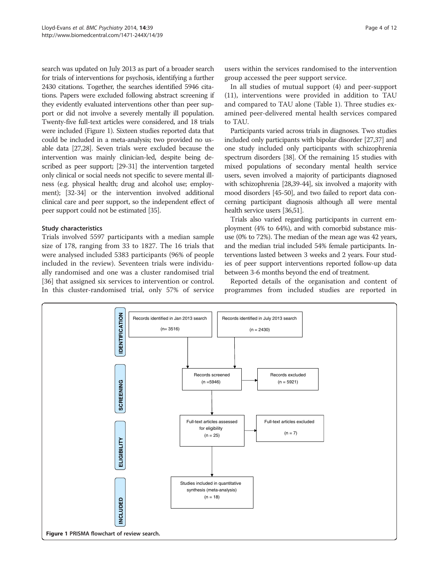search was updated on July 2013 as part of a broader search for trials of interventions for psychosis, identifying a further 2430 citations. Together, the searches identified 5946 citations. Papers were excluded following abstract screening if they evidently evaluated interventions other than peer support or did not involve a severely mentally ill population. Twenty-five full-text articles were considered, and 18 trials were included (Figure 1). Sixteen studies reported data that could be included in a meta-analysis; two provided no usable data [[27,28](#page-10-0)]. Seven trials were excluded because the intervention was mainly clinician-led, despite being described as peer support; [\[29-31](#page-10-0)] the intervention targeted only clinical or social needs not specific to severe mental illness (e.g. physical health; drug and alcohol use; employment); [[32](#page-10-0)-[34\]](#page-10-0) or the intervention involved additional clinical care and peer support, so the independent effect of peer support could not be estimated [\[35](#page-11-0)].

## Study characteristics

Trials involved 5597 participants with a median sample size of 178, ranging from 33 to 1827. The 16 trials that were analysed included 5383 participants (96% of people included in the review). Seventeen trials were individually randomised and one was a cluster randomised trial [[36\]](#page-11-0) that assigned six services to intervention or control. In this cluster-randomised trial, only 57% of service

users within the services randomised to the intervention group accessed the peer support service.

In all studies of mutual support (4) and peer-support (11), interventions were provided in addition to TAU and compared to TAU alone (Table [1\)](#page-4-0). Three studies examined peer-delivered mental health services compared to TAU.

Participants varied across trials in diagnoses. Two studies included only participants with bipolar disorder [\[27,](#page-10-0)[37](#page-11-0)] and one study included only participants with schizophrenia spectrum disorders [\[38\]](#page-11-0). Of the remaining 15 studies with mixed populations of secondary mental health service users, seven involved a majority of participants diagnosed with schizophrenia [[28](#page-10-0)[,39-44](#page-11-0)], six involved a majority with mood disorders [[45](#page-11-0)-[50\]](#page-11-0), and two failed to report data concerning participant diagnosis although all were mental health service users [\[36,51](#page-11-0)].

Trials also varied regarding participants in current employment (4% to 64%), and with comorbid substance misuse (0% to 72%). The median of the mean age was 42 years, and the median trial included 54% female participants. Interventions lasted between 3 weeks and 2 years. Four studies of peer support interventions reported follow-up data between 3-6 months beyond the end of treatment.

Reported details of the organisation and content of programmes from included studies are reported in

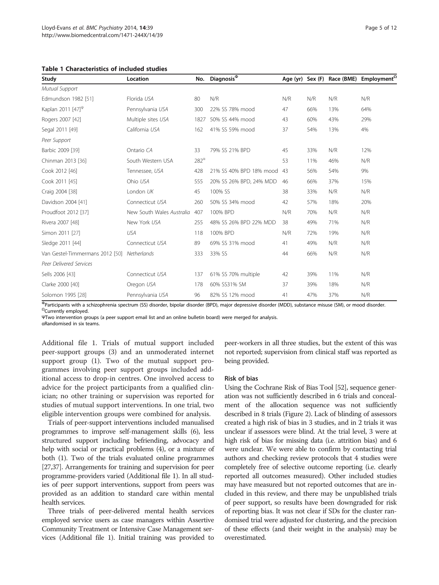<span id="page-4-0"></span>

| <b>Table 1 Characteristics of included studies</b> |  |  |  |
|----------------------------------------------------|--|--|--|
|----------------------------------------------------|--|--|--|

| Study                                         | Location                  | No.           | Diagnosis <sup>®</sup>     |     |     | Age (yr) Sex (F) Race (BME) | Employment <sup><math>\Omega</math></sup> |  |  |
|-----------------------------------------------|---------------------------|---------------|----------------------------|-----|-----|-----------------------------|-------------------------------------------|--|--|
| Mutual Support                                |                           |               |                            |     |     |                             |                                           |  |  |
| Edmundson 1982 [51]                           | Florida USA               | 80            | N/R                        | N/R | N/R | N/R                         | N/R                                       |  |  |
| Kaplan 2011 [47] <sup><math>\psi</math></sup> | Pennsylvania USA          | 300           | 22% SS 78% mood            | 47  | 66% | 13%                         | 64%                                       |  |  |
| Rogers 2007 [42]                              | Multiple sites USA        | 1827          | 50% SS 44% mood            | 43  | 60% | 43%                         | 29%                                       |  |  |
| Segal 2011 [49]                               | California USA            | 162           | 41% SS 59% mood            | 37  | 54% | 13%                         | 4%                                        |  |  |
| Peer Support                                  |                           |               |                            |     |     |                             |                                           |  |  |
| Barbic 2009 [39]                              | Ontario CA                | 33            | 79% SS 21% BPD             | 45  | 33% | N/R                         | 12%                                       |  |  |
| Chinman 2013 [36]                             | South Western USA         | $282^{\circ}$ |                            | 53  | 11% | 46%                         | N/R                                       |  |  |
| Cook 2012 [46]                                | Tennessee, USA            | 428           | 21% SS 40% BPD 18% mood 43 |     | 56% | 54%                         | 9%                                        |  |  |
| Cook 2011 [45]                                | Ohio USA                  | 555           | 20% SS 26% BPD, 24% MDD    | 46  | 66% | 37%                         | 15%                                       |  |  |
| Craig 2004 [38]                               | London UK                 | 45            | 100% SS                    | 38  | 33% | N/R                         | N/R                                       |  |  |
| Davidson 2004 [41]                            | Connecticut USA           | 260           | 50% SS 34% mood            | 42  | 57% | 18%                         | 20%                                       |  |  |
| Proudfoot 2012 [37]                           | New South Wales Australia | 407           | 100% BPD                   | N/R | 70% | N/R                         | N/R                                       |  |  |

<sup>Φ</sup>Participants with a schizophrenia spectrum (SS) disorder, bipolar disorder (BPD), major depressive disorder (MDD), substance misuse (SM), or mood disorder.<br><sup>Ω</sup>Currently employed. ΨTwo intervention groups (a peer support email list and an online bulletin board) were merged for analysis.

Rivera 2007 [[48](#page-11-0)] **New York USA 255 48% SS 26% BPD 22% MDD 38** 49% 71% N/R Simon 2011 [\[27\]](#page-10-0) USA USA 118 100% BPD N/R 72% 19% N/R Sledge 2011 [\[44](#page-11-0)] Connecticut USA 89 69% SS 31% mood 41 49% N/R N/R Van Gestel-Timmermans 2012 [[50](#page-11-0)] Netherlands 333 33% SS 44 66% N/R N/R

Sells 2006 [[43](#page-11-0)] Connecticut USA 137 61% SS 70% multiple 42 39% 11% N/R Clarke 2000 [\[40\]](#page-11-0) Oregon USA 178 60% SS31% SM 37 39% 18% N/R Solomon 1995 [[28](#page-10-0)] **Pennsylvania USA** 96 82% SS 12% mood 41 47% 37% N/R

αRandomised in six teams.

Peer Delivered Services

Additional file [1.](#page-10-0) Trials of mutual support included peer-support groups (3) and an unmoderated internet support group (1). Two of the mutual support programmes involving peer support groups included additional access to drop-in centres. One involved access to advice for the project participants from a qualified clinician; no other training or supervision was reported for studies of mutual support interventions. In one trial, two eligible intervention groups were combined for analysis.

Trials of peer-support interventions included manualised programmes to improve self-management skills (6), less structured support including befriending, advocacy and help with social or practical problems (4), or a mixture of both (1). Two of the trials evaluated online programmes [[27](#page-10-0)[,37\]](#page-11-0). Arrangements for training and supervision for peer programme-providers varied (Additional file [1\)](#page-10-0). In all studies of peer support interventions, support from peers was provided as an addition to standard care within mental health services.

Three trials of peer-delivered mental health services employed service users as case managers within Assertive Community Treatment or Intensive Case Management services (Additional file [1\)](#page-10-0). Initial training was provided to peer-workers in all three studies, but the extent of this was not reported; supervision from clinical staff was reported as being provided.

#### Risk of bias

Using the Cochrane Risk of Bias Tool [\[52](#page-11-0)], sequence generation was not sufficiently described in 6 trials and concealment of the allocation sequence was not sufficiently described in 8 trials (Figure [2\)](#page-5-0). Lack of blinding of assessors created a high risk of bias in 3 studies, and in 2 trials it was unclear if assessors were blind. At the trial level, 3 were at high risk of bias for missing data (i.e. attrition bias) and 6 were unclear. We were able to confirm by contacting trial authors and checking review protocols that 4 studies were completely free of selective outcome reporting (i.e. clearly reported all outcomes measured). Other included studies may have measured but not reported outcomes that are included in this review, and there may be unpublished trials of peer support, so results have been downgraded for risk of reporting bias. It was not clear if SDs for the cluster randomised trial were adjusted for clustering, and the precision of these effects (and their weight in the analysis) may be overestimated.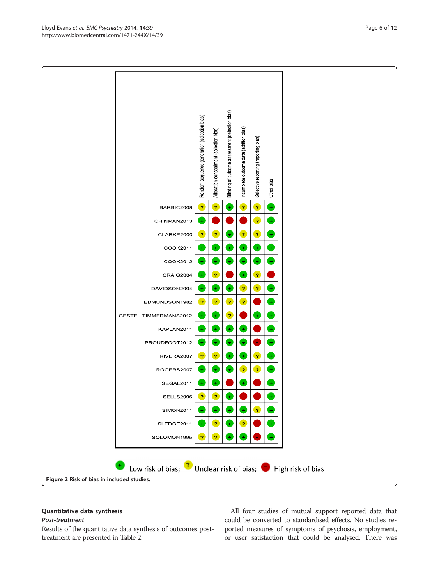Results of the quantitative data synthesis of outcomes posttreatment are presented in Table [2.](#page-6-0)

Quantitative data synthesis

Post-treatment

All four studies of mutual support reported data that could be converted to standardised effects. No studies reported measures of symptoms of psychosis, employment, or user satisfaction that could be analysed. There was

<span id="page-5-0"></span>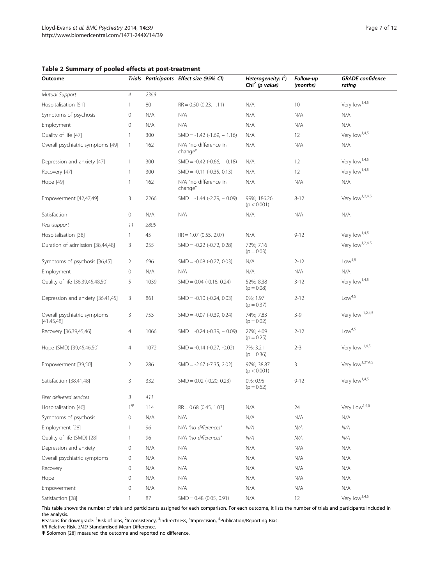# <span id="page-6-0"></span>Table 2 Summary of pooled effects at post-treatment

| Outcome                                      |                |      | Trials Participants Effect size (95% CI) | Heterogeneity: $I^2$ ;<br>Chi <sup>2</sup> (p value) | Follow-up<br>(months) | <b>GRADE</b> confidence<br>rating |
|----------------------------------------------|----------------|------|------------------------------------------|------------------------------------------------------|-----------------------|-----------------------------------|
| Mutual Support                               | $\overline{4}$ | 2369 |                                          |                                                      |                       |                                   |
| Hospitalisation [51]                         | 1              | 80   | $RR = 0.50$ (0.23, 1.11)                 | N/A                                                  | 10                    | Very low <sup>1,4,5</sup>         |
| Symptoms of psychosis                        | 0              | N/A  | N/A                                      | N/A                                                  | N/A                   | N/A                               |
| Employment                                   | $\mathbf 0$    | N/A  | N/A                                      | N/A                                                  | N/A                   | N/A                               |
| Quality of life [47]                         | $\mathbf{1}$   | 300  | $SMD = -1.42$ ( $-1.69$ , $-1.16$ )      | N/A                                                  | 12                    | Very low <sup>1,4,5</sup>         |
| Overall psychiatric symptoms [49]            | $\mathbf{1}$   | 162  | N/A "no difference in<br>change"         | N/A                                                  | N/A                   | N/A                               |
| Depression and anxiety [47]                  | $\mathbf{1}$   | 300  | $SMD = -0.42$ ( $-0.66$ , $-0.18$ )      | N/A                                                  | 12                    | Very low <sup>1,4,5</sup>         |
| Recovery [47]                                | 1              | 300  | $SMD = -0.11$ (-0.35, 0.13)              | N/A                                                  | 12                    | Very low <sup>1,4,5</sup>         |
| Hope [49]                                    | $\mathbf{1}$   | 162  | N/A "no difference in<br>change"         | N/A                                                  | N/A                   | N/A                               |
| Empowerment [42,47,49]                       | 3              | 2266 | $SMD = -1.44$ (-2.79, - 0.09)            | 99%; 186.26<br>(p < 0.001)                           | $8 - 12$              | Very low <sup>1,2,4,5</sup>       |
| Satisfaction                                 | 0              | N/A  | N/A                                      | N/A                                                  | N/A                   | N/A                               |
| Peer-support                                 | 11             | 2805 |                                          |                                                      |                       |                                   |
| Hospitalisation [38]                         | $\mathbf{1}$   | 45   | $RR = 1.07$ (0.55, 2.07)                 | N/A                                                  | $9 - 12$              | Very low <sup>1,4,5</sup>         |
| Duration of admission [38,44,48]             | 3              | 255  | $SMD = -0.22$ ( $-0.72$ , 0.28)          | 72%: 7.16<br>$(p = 0.03)$                            |                       | Very low <sup>1,2,4,5</sup>       |
| Symptoms of psychosis [36,45]                | $\overline{2}$ | 696  | $SMD = -0.08$ $(-0.27, 0.03)$            | N/A                                                  | $2 - 12$              | Low <sup>4,5</sup>                |
| Employment                                   | 0              | N/A  | N/A                                      | N/A                                                  | N/A                   | N/A                               |
| Quality of life [36,39,45,48,50]             | 5              | 1039 | $SMD = 0.04$ (-0.16, 0.24)               | 52%; 8.38<br>$(p = 0.08)$                            | $3 - 12$              | Very low <sup>1,4,5</sup>         |
| Depression and anxiety [36,41,45]            | 3              | 861  | $SMD = -0.10$ ( $-0.24$ , 0.03)          | 0%; 1.97<br>$(p = 0.37)$                             | $2 - 12$              | Low <sup>4,5</sup>                |
| Overall psychiatric symptoms<br>[41, 45, 48] | 3              | 753  | $SMD = -0.07$ ( $-0.39$ , 0.24)          | 74%; 7.83<br>$(p = 0.02)$                            | $3 - 9$               | Very low 1,2,4,5                  |
| Recovery [36,39,45,46]                       | 4              | 1066 | $SMD = -0.24 (-0.39, -0.09)$             | 27%; 4.09<br>$(p = 0.25)$                            | $2 - 12$              | $\mathsf{Low}^{4,5}$              |
| Hope (SMD) [39,45,46,50]                     | 4              | 1072 | $SMD = -0.14 (-0.27, -0.02)$             | 7%; 3.21<br>$(p = 0.36)$                             | $2 - 3$               | Very low $1,4,5$                  |
| Empowerment [39,50]                          | $\overline{2}$ | 286  | $SMD = -2.67$ (-7.35, 2.02)              | 97%; 38.87<br>(p < 0.001)                            | 3                     | Very low <sup>1,2*,4,5</sup>      |
| Satisfaction [38,41,48]                      | 3              | 332  | $SMD = 0.02$ (-0.20, 0.23)               | 0%; 0.95<br>$(p = 0.62)$                             | $9 - 12$              | Very low <sup>1,4,5</sup>         |
| Peer delivered services                      | 3              | 411  |                                          |                                                      |                       |                                   |
| Hospitalisation [40]                         | $1^{\Psi}$     | 114  | $RR = 0.68$ [0.45, 1.03]                 | N/A                                                  | 24                    | Very Low <sup>1,4,5</sup>         |
| Symptoms of psychosis                        | 0              | N/A  | N/A                                      | N/A                                                  | N/A                   | N/A                               |
| Employment [28]                              |                | 96   | N/A "no differences"                     | N/A                                                  | N/A                   | N/A                               |
| Quality of life (SMD) [28]                   | 1              | 96   | N/A "no differences"                     | N/A                                                  | N/A                   | N/A                               |
| Depression and anxiety                       | $\mathbf 0$    | N/A  | N/A                                      | N/A                                                  | N/A                   | N/A                               |
| Overall psychiatric symptoms                 | $\mathbf 0$    | N/A  | N/A                                      | N/A                                                  | N/A                   | N/A                               |
| Recovery                                     | 0              | N/A  | N/A                                      | N/A                                                  | N/A                   | N/A                               |
| Hope                                         | 0              | N/A  | N/A                                      | N/A                                                  | N/A                   | N/A                               |
| Empowerment                                  | 0              | N/A  | N/A                                      | N/A                                                  | N/A                   | N/A                               |
| Satisfaction [28]                            | $\mathbf{1}$   | 87   | $SMD = 0.48$ (0.05, 0.91)                | N/A                                                  | 12                    | Very low $1,4,5$                  |

This table shows the number of trials and participants assigned for each comparison. For each outcome, it lists the number of trials and participants included in the analysis.

Reasons for downgrade: <sup>1</sup>Risk of bias, <sup>2</sup>Inconsistency, <sup>3</sup>Indirectness, <sup>4</sup>Imprecision, <sup>5</sup>Publication/Reporting Bias.

RR Relative Risk, SMD Standardised Mean Difference.

Ψ Solomon [[28\]](#page-10-0) measured the outcome and reported no difference.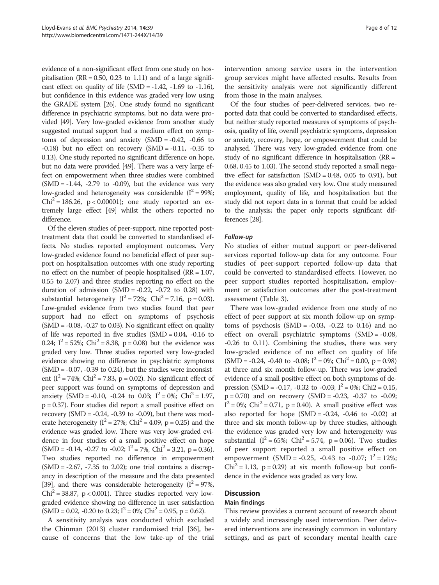evidence of a non-significant effect from one study on hospitalisation ( $RR = 0.50$ , 0.23 to 1.11) and of a large significant effect on quality of life  $(SMD = -1.42, -1.69$  to  $-1.16$ ), but confidence in this evidence was graded very low using the GRADE system [[26](#page-10-0)]. One study found no significant difference in psychiatric symptoms, but no data were provided [[49](#page-11-0)]. Very low-graded evidence from another study suggested mutual support had a medium effect on symptoms of depression and anxiety  $(SMD = -0.42, -0.66)$  to -0.18) but no effect on recovery  $(SMD = -0.11, -0.35)$  to 0.13). One study reported no significant difference on hope, but no data were provided [\[49](#page-11-0)]. There was a very large effect on empowerment when three studies were combined  $(SMD = -1.44, -2.79$  to  $-0.09$ ), but the evidence was very low-graded and heterogeneity was considerable  $(I^2 = 99\%;$  $Chi^2 = 186.26$ ,  $p < 0.00001$ ); one study reported an extremely large effect [\[49\]](#page-11-0) whilst the others reported no difference.

Of the eleven studies of peer-support, nine reported posttreatment data that could be converted to standardised effects. No studies reported employment outcomes. Very low-graded evidence found no beneficial effect of peer support on hospitalisation outcomes with one study reporting no effect on the number of people hospitalised (RR = 1.07, 0.55 to 2.07) and three studies reporting no effect on the duration of admission  $(SMD = -0.22, -0.72$  to 0.28) with substantial heterogeneity ( $I^2 = 72\%$ ; Chi<sup>2</sup> = 7.16, p = 0.03). Low-graded evidence from two studies found that peer support had no effect on symptoms of psychosis  $(SMD = -0.08, -0.27 \text{ to } 0.03)$ . No significant effect on quality of life was reported in five studies  $(SMD = 0.04, -0.16)$  to 0.24;  $I^2 = 52\%$ ; Chi<sup>2</sup> = 8.38, p = 0.08) but the evidence was graded very low. Three studies reported very low-graded evidence showing no difference in psychiatric symptoms  $(SMD = -0.07, -0.39$  to 0.24), but the studies were inconsistent ( $I^2 = 74\%$ ; Chi<sup>2</sup> = 7.83, p = 0.02). No significant effect of peer support was found on symptoms of depression and anxiety (SMD = -0.10, -0.24 to 0.03;  $I^2 = 0\%$ ; Chi<sup>2</sup> = 1.97, p = 0.37). Four studies did report a small positive effect on recovery (SMD =  $-0.24$ ,  $-0.39$  to  $-0.09$ ), but there was moderate heterogeneity ( $I^2 = 27\%$ ; Chi<sup>2</sup> = 4.09, p = 0.25) and the evidence was graded low. There was very low-graded evidence in four studies of a small positive effect on hope  $(SMD = -0.14, -0.27 \text{ to } -0.02; I^2 = 7\%, Chi^2 = 3.21, p = 0.36).$ Two studies reported no difference in empowerment  $(SMD = -2.67, -7.35$  to 2.02); one trial contains a discrepancy in description of the measure and the data presented [[39](#page-11-0)], and there was considerable heterogeneity ( $I^2 = 97\%$ ,  $Chi<sup>2</sup> = 38.87$ , p < 0.001). Three studies reported very lowgraded evidence showing no difference in user satisfaction  $(SMD = 0.02, -0.20 \text{ to } 0.23; I^2 = 0\%; Chi^2 = 0.95, p = 0.62).$ 

A sensitivity analysis was conducted which excluded the Chinman (2013) cluster randomised trial [\[36](#page-11-0)], because of concerns that the low take-up of the trial intervention among service users in the intervention group services might have affected results. Results from the sensitivity analysis were not significantly different from those in the main analyses.

Of the four studies of peer-delivered services, two reported data that could be converted to standardised effects, but neither study reported measures of symptoms of psychosis, quality of life, overall psychiatric symptoms, depression or anxiety, recovery, hope, or empowerment that could be analysed. There was very low-graded evidence from one study of no significant difference in hospitalisation  $(RR =$ 0.68, 0.45 to 1.03). The second study reported a small negative effect for satisfaction  $(SMD = 0.48, 0.05$  to 0.91), but the evidence was also graded very low. One study measured employment, quality of life, and hospitalisation but the study did not report data in a format that could be added to the analysis; the paper only reports significant differences [\[28\]](#page-10-0).

#### Follow-up

No studies of either mutual support or peer-delivered services reported follow-up data for any outcome. Four studies of peer-support reported follow-up data that could be converted to standardised effects. However, no peer support studies reported hospitalisation, employment or satisfaction outcomes after the post-treatment assessment (Table [3](#page-8-0)).

There was low-graded evidence from one study of no effect of peer support at six month follow-up on symptoms of psychosis  $(SMD = -0.03, -0.22$  to 0.16) and no effect on overall psychiatric symptoms (SMD = -0.08, -0.26 to 0.11). Combining the studies, there was very low-graded evidence of no effect on quality of life  $(SMD = -0.24, -0.40 \text{ to } -0.08; I^2 = 0\%; Chi^2 = 0.00, p = 0.98)$ at three and six month follow-up. There was low-graded evidence of a small positive effect on both symptoms of depression (SMD = -0.17, -0.32 to -0.03;  $I^2 = 0\%$ ; Chi2 = 0.15,  $p = 0.70$ ) and on recovery (SMD = -0.23, -0.37 to -0.09;  $I^2 = 0\%$ ; Chi<sup>2</sup> = 0.71, p = 0.40). A small positive effect was also reported for hope  $(SMD = -0.24, -0.46$  to  $-0.02)$  at three and six month follow-up by three studies, although the evidence was graded very low and heterogeneity was substantial  $(I^2 = 65\%;$  Chi<sup>2</sup> = 5.74, p = 0.06). Two studies of peer support reported a small positive effect on empowerment (SMD = -0.25, -0.43 to -0.07;  $I^2 = 12\%$ ;  $Chi^2 = 1.13$ ,  $p = 0.29$ ) at six month follow-up but confidence in the evidence was graded as very low.

## **Discussion**

#### Main findings

This review provides a current account of research about a widely and increasingly used intervention. Peer delivered interventions are increasingly common in voluntary settings, and as part of secondary mental health care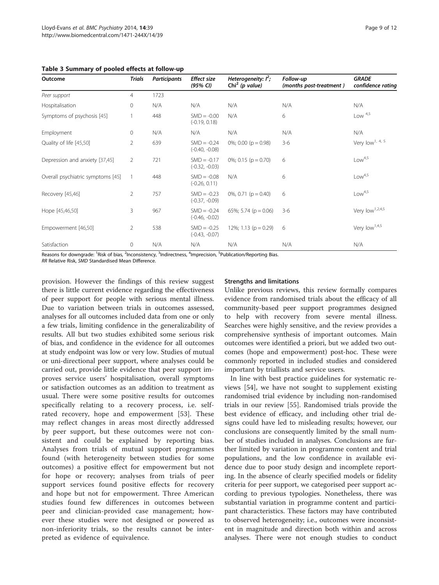<span id="page-8-0"></span>

|  |  |  |  |  |  |  | Table 3 Summary of pooled effects at follow-up |
|--|--|--|--|--|--|--|------------------------------------------------|
|--|--|--|--|--|--|--|------------------------------------------------|

| Outcome                           | <b>Trials</b>  | <b>Participants</b> | <b>Effect size</b><br>(95% CI)    | Heterogeneity: $P$ ;<br>Chi <sup>2</sup> ( <i>p</i> value) | Follow-up<br>(months post-treatment) | <b>GRADE</b><br>confidence rating |  |
|-----------------------------------|----------------|---------------------|-----------------------------------|------------------------------------------------------------|--------------------------------------|-----------------------------------|--|
| Peer support                      | $\overline{4}$ | 1723                |                                   |                                                            |                                      |                                   |  |
| Hospitalisation                   | $\Omega$       | N/A                 | N/A                               | N/A                                                        | N/A                                  | N/A                               |  |
| Symptoms of psychosis [45]        |                | 448                 | $SMD = -0.00$<br>$(-0.19, 0.18)$  | N/A                                                        | 6                                    | Low $4.5$                         |  |
| Employment                        | $\circ$        | N/A                 | N/A                               | N/A                                                        | N/A                                  | N/A                               |  |
| Quality of life [45,50]           | $\overline{2}$ | 639                 | $SMD = -0.24$<br>$(-0.40, -0.08)$ | 0%; 0.00 ( $p = 0.98$ )                                    | $3-6$                                | Very low <sup>1, 4, 5</sup>       |  |
| Depression and anxiety [37,45]    | $\overline{2}$ | 721                 | $SMD = -0.17$<br>$(-0.32, -0.03)$ | 0%; 0.15 ( $p = 0.70$ )                                    | 6                                    | Low <sup>4,5</sup>                |  |
| Overall psychiatric symptoms [45] |                | 448                 | $SMD = -0.08$<br>$(-0.26, 0.11)$  | N/A                                                        | 6                                    | Low <sup>4,5</sup>                |  |
| Recovery [45,46]                  | 2              | 757                 | $SMD = -0.23$<br>$(-0.37, -0.09)$ | 0%, 0.71 ( $p = 0.40$ )                                    | 6                                    | Low <sup>4,5</sup>                |  |
| Hope [45,46,50]                   | 3              | 967                 | $SMD = -0.24$<br>$(-0.46, -0.02)$ | 65%; 5.74 ( $p = 0.06$ )                                   | $3-6$                                | Very low <sup>1,2,4,5</sup>       |  |
| Empowerment [46,50]               | 2              | 538                 | $SMD = -0.25$<br>$(-0.43, -0.07)$ | 12%; 1.13 ( $p = 0.29$ )                                   | 6                                    | Very low <sup>1,4,5</sup>         |  |
| Satisfaction                      | 0              | N/A                 | N/A                               | N/A                                                        | N/A                                  | N/A                               |  |

Reasons for downgrade: <sup>1</sup>Risk of bias, <sup>2</sup>Inconsistency, <sup>3</sup>Indirectness, <sup>4</sup>Imprecision, <sup>5</sup>Publication/Reporting Bias. RR Relative Risk, SMD Standardised Mean Difference.

provision. However the findings of this review suggest there is little current evidence regarding the effectiveness of peer support for people with serious mental illness. Due to variation between trials in outcomes assessed, analyses for all outcomes included data from one or only a few trials, limiting confidence in the generalizability of results. All but two studies exhibited some serious risk of bias, and confidence in the evidence for all outcomes at study endpoint was low or very low. Studies of mutual or uni-directional peer support, where analyses could be carried out, provide little evidence that peer support improves service users' hospitalisation, overall symptoms or satisfaction outcomes as an addition to treatment as usual. There were some positive results for outcomes specifically relating to a recovery process, i.e. selfrated recovery, hope and empowerment [\[53](#page-11-0)]. These may reflect changes in areas most directly addressed by peer support, but these outcomes were not consistent and could be explained by reporting bias. Analyses from trials of mutual support programmes found (with heterogeneity between studies for some outcomes) a positive effect for empowerment but not for hope or recovery; analyses from trials of peer support services found positive effects for recovery and hope but not for empowerment. Three American studies found few differences in outcomes between peer and clinician-provided case management; however these studies were not designed or powered as non-inferiority trials, so the results cannot be interpreted as evidence of equivalence.

## Strengths and limitations

Unlike previous reviews, this review formally compares evidence from randomised trials about the efficacy of all community-based peer support programmes designed to help with recovery from severe mental illness. Searches were highly sensitive, and the review provides a comprehensive synthesis of important outcomes. Main outcomes were identified a priori, but we added two outcomes (hope and empowerment) post-hoc. These were commonly reported in included studies and considered important by triallists and service users.

In line with best practice guidelines for systematic reviews [\[54](#page-11-0)], we have not sought to supplement existing randomised trial evidence by including non-randomised trials in our review [[55\]](#page-11-0). Randomised trials provide the best evidence of efficacy, and including other trial designs could have led to misleading results; however, our conclusions are consequently limited by the small number of studies included in analyses. Conclusions are further limited by variation in programme content and trial populations, and the low confidence in available evidence due to poor study design and incomplete reporting. In the absence of clearly specified models or fidelity criteria for peer support, we categorised peer support according to previous typologies. Nonetheless, there was substantial variation in programme content and participant characteristics. These factors may have contributed to observed heterogeneity; i.e., outcomes were inconsistent in magnitude and direction both within and across analyses. There were not enough studies to conduct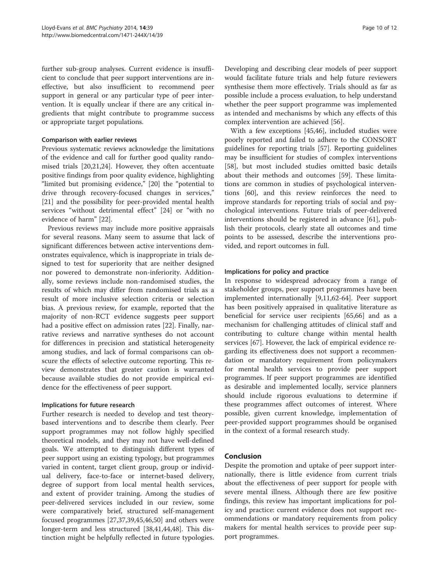further sub-group analyses. Current evidence is insufficient to conclude that peer support interventions are ineffective, but also insufficient to recommend peer support in general or any particular type of peer intervention. It is equally unclear if there are any critical ingredients that might contribute to programme success or appropriate target populations.

#### Comparison with earlier reviews

Previous systematic reviews acknowledge the limitations of the evidence and call for further good quality randomised trials [\[20,21,24](#page-10-0)]. However, they often accentuate positive findings from poor quality evidence, highlighting "limited but promising evidence," [\[20](#page-10-0)] the "potential to drive through recovery-focused changes in services," [[21\]](#page-10-0) and the possibility for peer-provided mental health services "without detrimental effect" [[24\]](#page-10-0) or "with no evidence of harm" [\[22](#page-10-0)].

Previous reviews may include more positive appraisals for several reasons. Many seem to assume that lack of significant differences between active interventions demonstrates equivalence, which is inappropriate in trials designed to test for superiority that are neither designed nor powered to demonstrate non-inferiority. Additionally, some reviews include non-randomised studies, the results of which may differ from randomised trials as a result of more inclusive selection criteria or selection bias. A previous review, for example, reported that the majority of non-RCT evidence suggests peer support had a positive effect on admission rates [[22\]](#page-10-0). Finally, narrative reviews and narrative syntheses do not account for differences in precision and statistical heterogeneity among studies, and lack of formal comparisons can obscure the effects of selective outcome reporting. This review demonstrates that greater caution is warranted because available studies do not provide empirical evidence for the effectiveness of peer support.

#### Implications for future research

Further research is needed to develop and test theorybased interventions and to describe them clearly. Peer support programmes may not follow highly specified theoretical models, and they may not have well-defined goals. We attempted to distinguish different types of peer support using an existing typology, but programmes varied in content, target client group, group or individual delivery, face-to-face or internet-based delivery, degree of support from local mental health services, and extent of provider training. Among the studies of peer-delivered services included in our review, some were comparatively brief, structured self-management focused programmes [[27](#page-10-0)[,37,39,45,46,50](#page-11-0)] and others were longer-term and less structured [[38,41,44,48](#page-11-0)]. This distinction might be helpfully reflected in future typologies. Developing and describing clear models of peer support would facilitate future trials and help future reviewers synthesise them more effectively. Trials should as far as possible include a process evaluation, to help understand whether the peer support programme was implemented as intended and mechanisms by which any effects of this complex intervention are achieved [\[56\]](#page-11-0).

With a few exceptions [[45,46\]](#page-11-0), included studies were poorly reported and failed to adhere to the CONSORT guidelines for reporting trials [\[57](#page-11-0)]. Reporting guidelines may be insufficient for studies of complex interventions [[58\]](#page-11-0), but most included studies omitted basic details about their methods and outcomes [[59\]](#page-11-0). These limitations are common in studies of psychological interventions [\[60](#page-11-0)], and this review reinforces the need to improve standards for reporting trials of social and psychological interventions. Future trials of peer-delivered interventions should be registered in advance [[61](#page-11-0)], publish their protocols, clearly state all outcomes and time points to be assessed, describe the interventions provided, and report outcomes in full.

## Implications for policy and practice

In response to widespread advocacy from a range of stakeholder groups, peer support programmes have been implemented internationally [\[9,11](#page-10-0)[,62-64](#page-11-0)]. Peer support has been positively appraised in qualitative literature as beneficial for service user recipients [[65,66\]](#page-11-0) and as a mechanism for challenging attitudes of clinical staff and contributing to culture change within mental health services [[67](#page-11-0)]. However, the lack of empirical evidence regarding its effectiveness does not support a recommendation or mandatory requirement from policymakers for mental health services to provide peer support programmes. If peer support programmes are identified as desirable and implemented locally, service planners should include rigorous evaluations to determine if these programmes affect outcomes of interest. Where possible, given current knowledge, implementation of peer-provided support programmes should be organised in the context of a formal research study.

## Conclusion

Despite the promotion and uptake of peer support internationally, there is little evidence from current trials about the effectiveness of peer support for people with severe mental illness. Although there are few positive findings, this review has important implications for policy and practice: current evidence does not support recommendations or mandatory requirements from policy makers for mental health services to provide peer support programmes.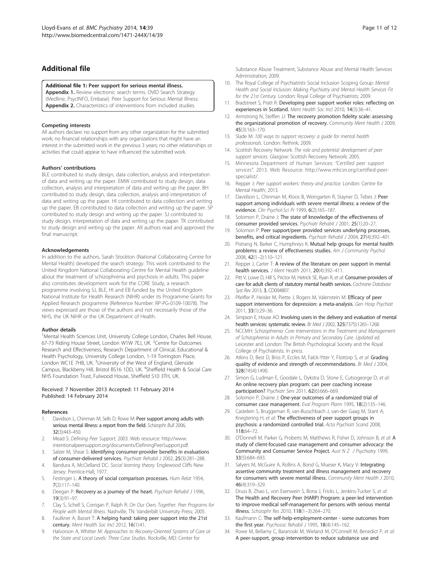# <span id="page-10-0"></span>Additional file

#### [Additional file 1:](http://www.biomedcentral.com/content/supplementary/1471-244X-14-39-S1.docx) Peer support for serious mental illness.

Appendix 1. Review electronic search terms. OVID Search Strategy (Medline, PsycINFO, Embase). Peer Support for Serious Mental Illness: Appendix 2. Characteristics of interventions from included studies.

#### Competing interests

All authors declare: no support from any other organization for the submitted work; no financial relationships with any organizations that might have an interest in the submitted work in the previous 3 years; no other relationships or activities that could appear to have influenced the submitted work.

#### Authors' contributions

BLE contributed to study design, data collection, analysis and interpretation of data and writing up the paper. EMW contributed to study design, data collection, analysis and interpretation of data and writing up the paper. BH contributed to study design, data collection, analysis and interpretation of data and writing up the paper. HI contributed to data collection and writing up the paper. EB contributed to data collection and writing up the paper. SP contributed to study design and writing up the paper. SJ contributed to study design, interpretation of data and writing up the paper. TK contributed to study design and writing up the paper. All authors read and approved the final manuscript.

#### Acknowledgements

In addition to the authors, Sarah Stockton (National Collaborating Centre for Mental Health) developed the search strategy. This work contributed to the United Kingdom National Collaborating Centre for Mental Health guideline about the treatment of schizophrenia and psychosis in adults. This paper also constitutes development work for the CORE Study, a research programme involving SJ, BLE, HI and EB funded by the United Kingdom National Institute for Health Research (NIHR) under its Programme Grants for Applied Research programme (Reference Number: RP-PG-0109-10078). The views expressed are those of the authors and not necessarily those of the NHS, the UK NIHR or the UK Department of Health.

#### Author details

<sup>1</sup>Mental Health Sciences Unit, University College London, Charles Bell House, 67-73 Riding House Street, London W1W 7EJ, UK. <sup>2</sup>Centre for Outcomes Research and Effectiveness, Research Department of Clinical, Educational & Health Psychology, University College London, 1-19 Torrington Place, London WC1E 7HB, UK. <sup>3</sup>University of the West of England, Glenside Campus, Blackberry Hill, Bristol BS16 1DD, UK. <sup>4</sup>Sheffield Health & Social Care NHS Foundation Trust, Fulwood House, Sheffield S10 3TH, UK.

#### Received: 7 November 2013 Accepted: 11 February 2014 Published: 14 February 2014

#### References

- Davidson L, Chinman M, Sells D, Rowe M: Peer support among adults with serious mental illness: a report from the field. Schizophr Bull 2006, 32(3):443–450.
- 2. Mead S: Defining Peer Support; 2003. Web resource: [http://www.](http://www.intentionalpeersupport.org/documents/DefiningPeerSupport.pdf) [intentionalpeersupport.org/documents/DefiningPeerSupport.pdf](http://www.intentionalpeersupport.org/documents/DefiningPeerSupport.pdf).
- 3. Salzer M, Shear S: Identifying consumer-provider benefits in evaluations of consumer-delivered services. Psychiatr Rehabil J 2002, 25(3):281–288.
- 4. Bandura A, McClelland DC: Social learning theory. Englewood Cliffs New Jersey: Prentice-Hall; 1977.
- 5. Festinger L: A theory of social comparison processes. Hum Relat 1954, 7(2):117–140.
- 6. Deegan P: Recovery as a journey of the heart. Psychiatr Rehabil J 1996, 19(3):91–97.
- 7. Clay S, Schell S, Corrigan P, Ralph R: On Our Own, Together. Peer Programs for People with Mental Illness. Nashville, TN: Vanderbilt University Press; 2005.
- Faulkner A, Basset T: A helping hand: taking peer support into the 21st century. Ment Health Soc Incl 2012, 16(1):41.
- 9. Halvorson A, Whitter M: Approaches to Recovery-Oriented Systems of Care at the State and Local Levels: Three Case Studies. Rockville, MD: Center for

Substance Abuse Treatment, Substance Abuse and Mental Health Services Administration; 2009.

- 10. The Royal College of Psychiatrists Social Inclusion Scoping Group: Mental Health and Social Inclusion: Making Psychiatry and Mental Health Services Fit for the 21st Century. London: Royal College of Psychiatrists; 2009.
- 11. Bradstreet S, Pratt R: Developing peer support worker roles: reflecting on experiences in Scotland. Ment Health Soc Incl 2010, 14(3):36–41.
- 12. Armstrong N, Steffen JJ: The recovery promotion fidelity scale: assessing the organizational promotion of recovery. Community Ment Health J 2009, 45(3):163–170.
- 13. Slade M: 100 ways to support recovery: a guide for mental health professionals. London: Rethink; 2009.
- 14. Scottish Recovery Network: The role and potential development of peer support services. Glasgow: Scottish Recovery Network; 2005.
- 15. Minnesota Department of Human Services: "Certified peer support services". 2013. Web Resource: [http://www.mhcsn.org/certified-peer](http://www.mhcsn.org/certified-peer-specialist/)specialist/
- 16. Repper J: Peer support workers: theory and practice. London: Centre for Mental Health; 2013.
- 17. Davidson L, Chinman M, Kloos B, Weingarten R, Stayner D, Tebes J: Peer support among individuals with severe mental illness: a review of the evidence. Clin Psychol-Sci Pr 1999, 6(2):165–187.
- 18. Solomon P, Draine J: The state of knowledge of the effectiveness of consumer provided services. Psychiatr Rehabil J 2001, 25(1):20–27.
- 19. Solomon P: Peer support/peer provided services underlying processes, benefits, and critical ingredients. Psychiatr Rehabil J 2004, 27(4):392-401.
- 20. Pistrang N, Barker C, Humphreys K: Mutual help groups for mental health problems: a review of effectiveness studies. Am J Community Psychol 2008, 42(1–2):110–121.
- 21. Repper J, Carter T: A review of the literature on peer support in mental health services. J Ment Health 2011, 20(4):392-411.
- 22. Pitt V, Lowe D, Hill S, Prictor M, Hetrick SE, Ryan R, et al: Consumer-providers of care for adult clients of statutory mental health services. Cochrane Database Syst Rev 2013, 3, CD004807.
- 23. Pfeiffer P, Heisler M, Piette J, Rogers M, Valenstein M: Efficacy of peer support interventions for depression: a meta-analysis. Gen Hosp Psychiat 2011, 33(1):29–36.
- 24. Simpson E, House AO: Involving users in the delivery and evaluation of mental health services: systematic review. Br Med J 2002, 325(7375):1265–1268.
- 25. NCCMH: Schizophrenia: Core Interventions in the Treatment and Management of Schizophrenia in Adults in Primary and Secondary Care. Updated ed. Leicester and London: The British Psychological Society and the Royal College of Psychiatrists. In press.
- 26. Atkins D, Best D, Briss P, Eccles M, Falck-Ytter Y, Flottorp S, et al: Grading quality of evidence and strength of recommendations. Br Med J 2004, 328(7454):1490.
- 27. Simon G, Ludman E, Goodale L, Dykstra D, Stone E, Cutsogeorge D, et al: An online recovery plan program: can peer coaching increase participation? Psychiatr Serv 2011, 62(6):666-669.
- 28. Solomon P, Draine J: One-year outcomes of a randomized trial of consumer case management. Eval Program Plann 1995, 18(2):135–146.
- 29. Castelein S, Bruggeman R, van-Busschbach J, van-der Gaag M, Stant A, Knegtering H, et al: The effectiveness of peer support groups in psychosis: a randomized controlled trial. Acta Psychiatr Scand 2008, 118:64–72.
- 30. O'Donnell M, Parker G, Proberts M, Matthews R, Fisher D, Johnson B, et al: A study of client-focused case management and consumer advocacy: the Community and Consumer Service Project. Aust N Z J Psychiatry 1999, 33(5):684–693.
- 31. Salyers M, McGuire A, Rollins A, Bond G, Mueser K, Macy V: Integrating assertive community treatment and illness management and recovery for consumers with severe mental illness. Community Ment Health J 2010, 46(4):319–329.
- 32. Druss B, Zhao L, von Esenwein S, Bona J, Fricks L, Jenkins-Tucker S, et al: The Health and Recovery Peer (HARP) Program: a peer-led intervention to improve medical self-management for persons with serious mental illness. Schizophr Res 2010, 118(1–3):264–270.
- 33. Kaufmann C: The self-help-employment-center some outcomes from the first year. Psychosoc Rehabil J 1995, 18(4):145-162.
- 34. Rowe M, Bellamy C, Baranoski M, Wieland M, O'Connell M, Benedict P, et al: A peer-support, group intervention to reduce substance use and